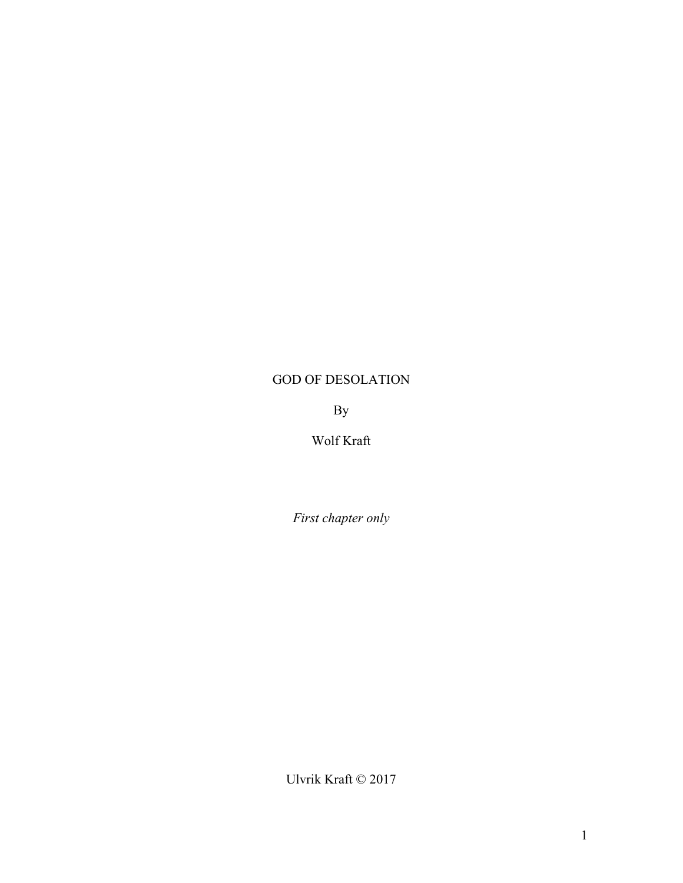## GOD OF DESOLATION

By

Wolf Kraft

*First chapter only*

Ulvrik Kraft © 2017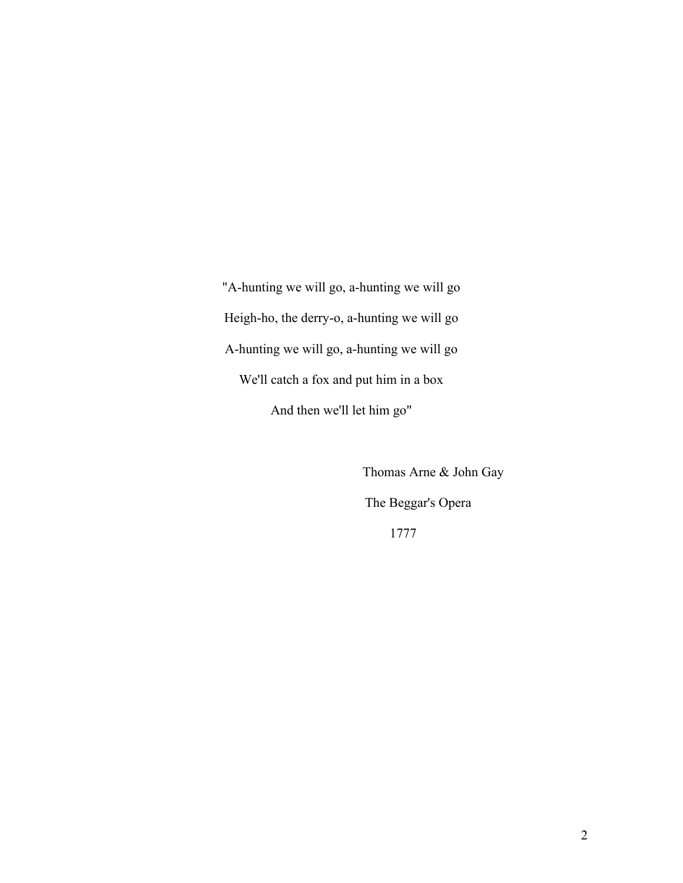"A-hunting we will go, a-hunting we will go Heigh-ho, the derry-o, a-hunting we will go A-hunting we will go, a-hunting we will go We'll catch a fox and put him in a box And then we'll let him go"

> Thomas Arne & John Gay The Beggar's Opera 1777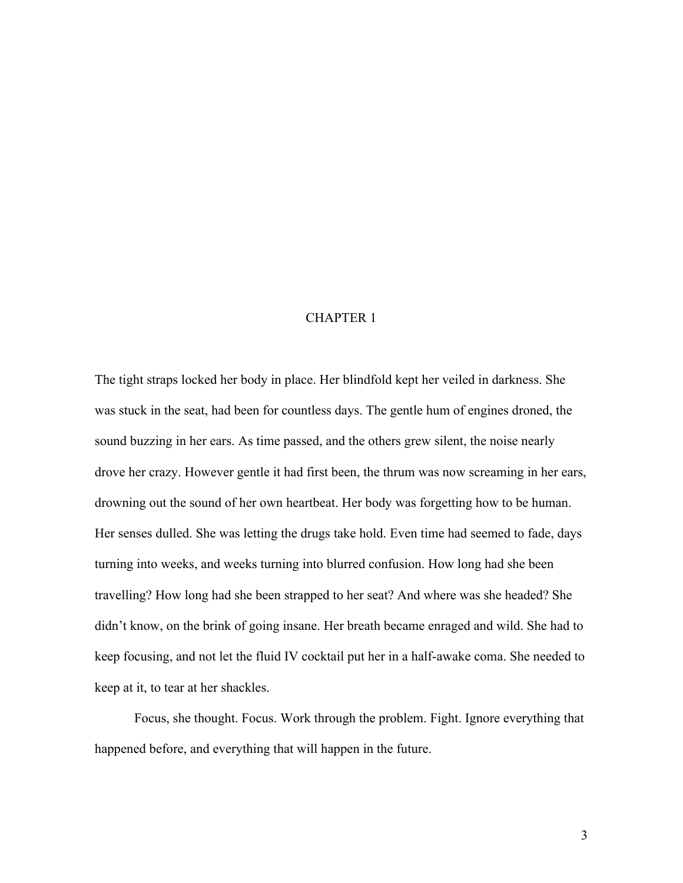## CHAPTER 1

The tight straps locked her body in place. Her blindfold kept her veiled in darkness. She was stuck in the seat, had been for countless days. The gentle hum of engines droned, the sound buzzing in her ears. As time passed, and the others grew silent, the noise nearly drove her crazy. However gentle it had first been, the thrum was now screaming in her ears, drowning out the sound of her own heartbeat. Her body was forgetting how to be human. Her senses dulled. She was letting the drugs take hold. Even time had seemed to fade, days turning into weeks, and weeks turning into blurred confusion. How long had she been travelling? How long had she been strapped to her seat? And where was she headed? She didn't know, on the brink of going insane. Her breath became enraged and wild. She had to keep focusing, and not let the fluid IV cocktail put her in a half-awake coma. She needed to keep at it, to tear at her shackles.

Focus, she thought. Focus. Work through the problem. Fight. Ignore everything that happened before, and everything that will happen in the future.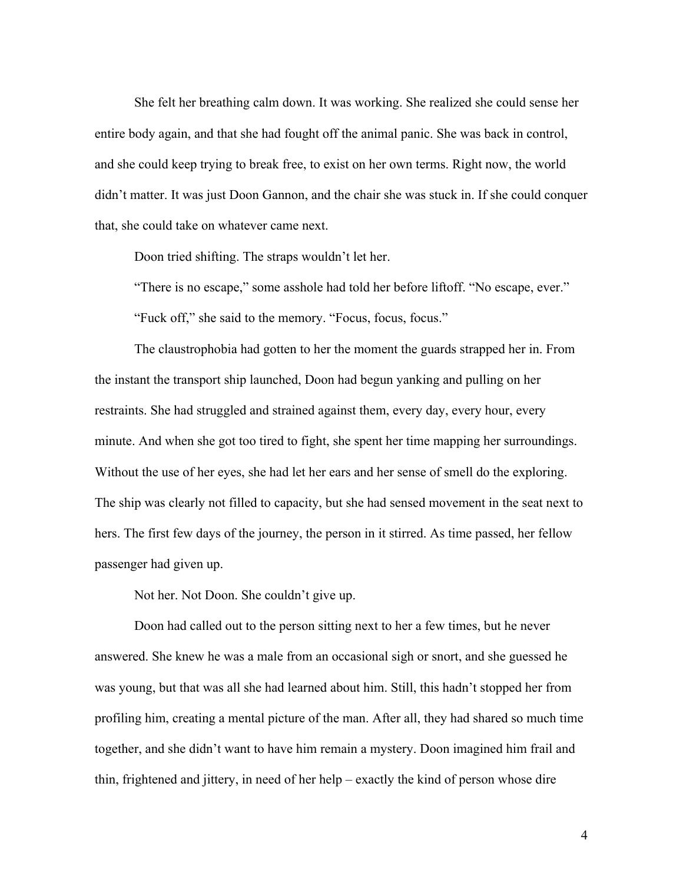She felt her breathing calm down. It was working. She realized she could sense her entire body again, and that she had fought off the animal panic. She was back in control, and she could keep trying to break free, to exist on her own terms. Right now, the world didn't matter. It was just Doon Gannon, and the chair she was stuck in. If she could conquer that, she could take on whatever came next.

Doon tried shifting. The straps wouldn't let her.

"There is no escape," some asshole had told her before liftoff. "No escape, ever." "Fuck off," she said to the memory. "Focus, focus, focus."

The claustrophobia had gotten to her the moment the guards strapped her in. From the instant the transport ship launched, Doon had begun yanking and pulling on her restraints. She had struggled and strained against them, every day, every hour, every minute. And when she got too tired to fight, she spent her time mapping her surroundings. Without the use of her eyes, she had let her ears and her sense of smell do the exploring. The ship was clearly not filled to capacity, but she had sensed movement in the seat next to hers. The first few days of the journey, the person in it stirred. As time passed, her fellow passenger had given up.

Not her. Not Doon. She couldn't give up.

Doon had called out to the person sitting next to her a few times, but he never answered. She knew he was a male from an occasional sigh or snort, and she guessed he was young, but that was all she had learned about him. Still, this hadn't stopped her from profiling him, creating a mental picture of the man. After all, they had shared so much time together, and she didn't want to have him remain a mystery. Doon imagined him frail and thin, frightened and jittery, in need of her help – exactly the kind of person whose dire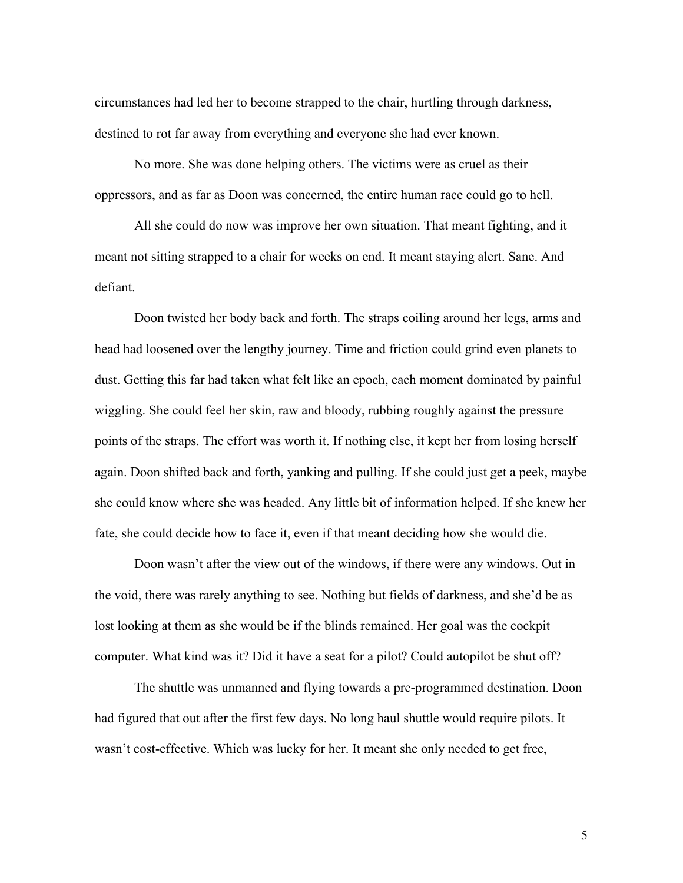circumstances had led her to become strapped to the chair, hurtling through darkness, destined to rot far away from everything and everyone she had ever known.

No more. She was done helping others. The victims were as cruel as their oppressors, and as far as Doon was concerned, the entire human race could go to hell.

All she could do now was improve her own situation. That meant fighting, and it meant not sitting strapped to a chair for weeks on end. It meant staying alert. Sane. And defiant.

Doon twisted her body back and forth. The straps coiling around her legs, arms and head had loosened over the lengthy journey. Time and friction could grind even planets to dust. Getting this far had taken what felt like an epoch, each moment dominated by painful wiggling. She could feel her skin, raw and bloody, rubbing roughly against the pressure points of the straps. The effort was worth it. If nothing else, it kept her from losing herself again. Doon shifted back and forth, yanking and pulling. If she could just get a peek, maybe she could know where she was headed. Any little bit of information helped. If she knew her fate, she could decide how to face it, even if that meant deciding how she would die.

Doon wasn't after the view out of the windows, if there were any windows. Out in the void, there was rarely anything to see. Nothing but fields of darkness, and she'd be as lost looking at them as she would be if the blinds remained. Her goal was the cockpit computer. What kind was it? Did it have a seat for a pilot? Could autopilot be shut off?

The shuttle was unmanned and flying towards a pre-programmed destination. Doon had figured that out after the first few days. No long haul shuttle would require pilots. It wasn't cost-effective. Which was lucky for her. It meant she only needed to get free,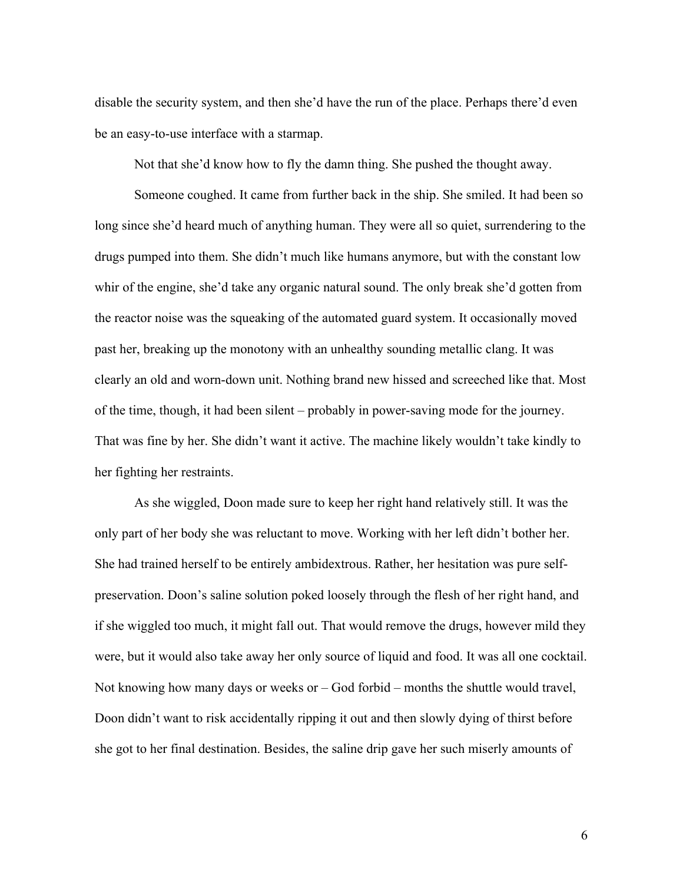disable the security system, and then she'd have the run of the place. Perhaps there'd even be an easy-to-use interface with a starmap.

Not that she'd know how to fly the damn thing. She pushed the thought away.

Someone coughed. It came from further back in the ship. She smiled. It had been so long since she'd heard much of anything human. They were all so quiet, surrendering to the drugs pumped into them. She didn't much like humans anymore, but with the constant low whir of the engine, she'd take any organic natural sound. The only break she'd gotten from the reactor noise was the squeaking of the automated guard system. It occasionally moved past her, breaking up the monotony with an unhealthy sounding metallic clang. It was clearly an old and worn-down unit. Nothing brand new hissed and screeched like that. Most of the time, though, it had been silent – probably in power-saving mode for the journey. That was fine by her. She didn't want it active. The machine likely wouldn't take kindly to her fighting her restraints.

As she wiggled, Doon made sure to keep her right hand relatively still. It was the only part of her body she was reluctant to move. Working with her left didn't bother her. She had trained herself to be entirely ambidextrous. Rather, her hesitation was pure selfpreservation. Doon's saline solution poked loosely through the flesh of her right hand, and if she wiggled too much, it might fall out. That would remove the drugs, however mild they were, but it would also take away her only source of liquid and food. It was all one cocktail. Not knowing how many days or weeks or – God forbid – months the shuttle would travel, Doon didn't want to risk accidentally ripping it out and then slowly dying of thirst before she got to her final destination. Besides, the saline drip gave her such miserly amounts of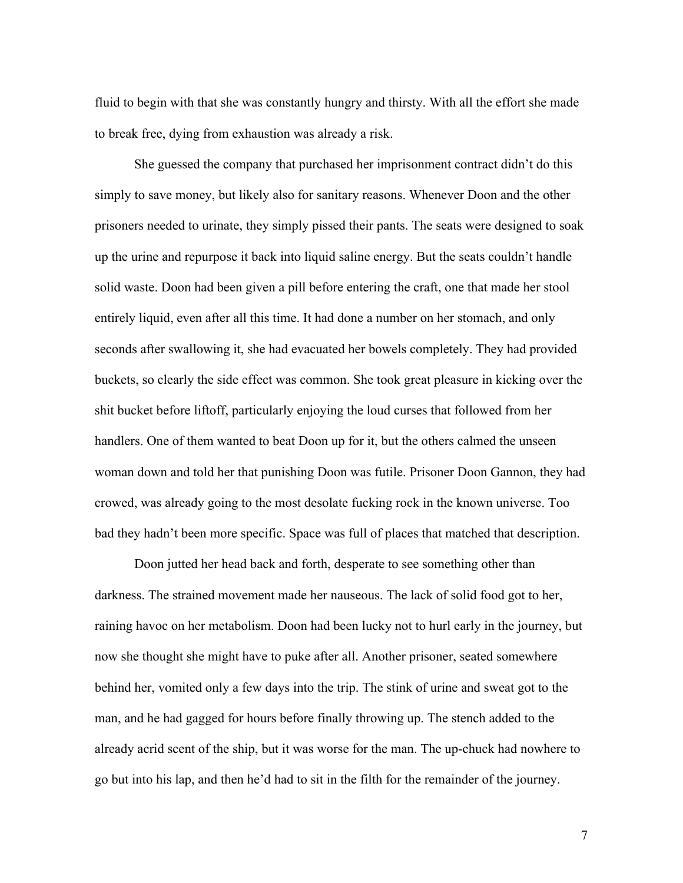fluid to begin with that she was constantly hungry and thirsty. With all the effort she made to break free, dying from exhaustion was already a risk.

She guessed the company that purchased her imprisonment contract didn't do this simply to save money, but likely also for sanitary reasons. Whenever Doon and the other prisoners needed to urinate, they simply pissed their pants. The seats were designed to soak up the urine and repurpose it back into liquid saline energy. But the seats couldn't handle solid waste. Doon had been given a pill before entering the craft, one that made her stool entirely liquid, even after all this time. It had done a number on her stomach, and only seconds after swallowing it, she had evacuated her bowels completely. They had provided buckets, so clearly the side effect was common. She took great pleasure in kicking over the shit bucket before liftoff, particularly enjoying the loud curses that followed from her handlers. One of them wanted to beat Doon up for it, but the others calmed the unseen woman down and told her that punishing Doon was futile. Prisoner Doon Gannon, they had crowed, was already going to the most desolate fucking rock in the known universe. Too bad they hadn't been more specific. Space was full of places that matched that description.

Doon jutted her head back and forth, desperate to see something other than darkness. The strained movement made her nauseous. The lack of solid food got to her, raining havoc on her metabolism. Doon had been lucky not to hurl early in the journey, but now she thought she might have to puke after all. Another prisoner, seated somewhere behind her, vomited only a few days into the trip. The stink of urine and sweat got to the man, and he had gagged for hours before finally throwing up. The stench added to the already acrid scent of the ship, but it was worse for the man. The up-chuck had nowhere to go but into his lap, and then he'd had to sit in the filth for the remainder of the journey.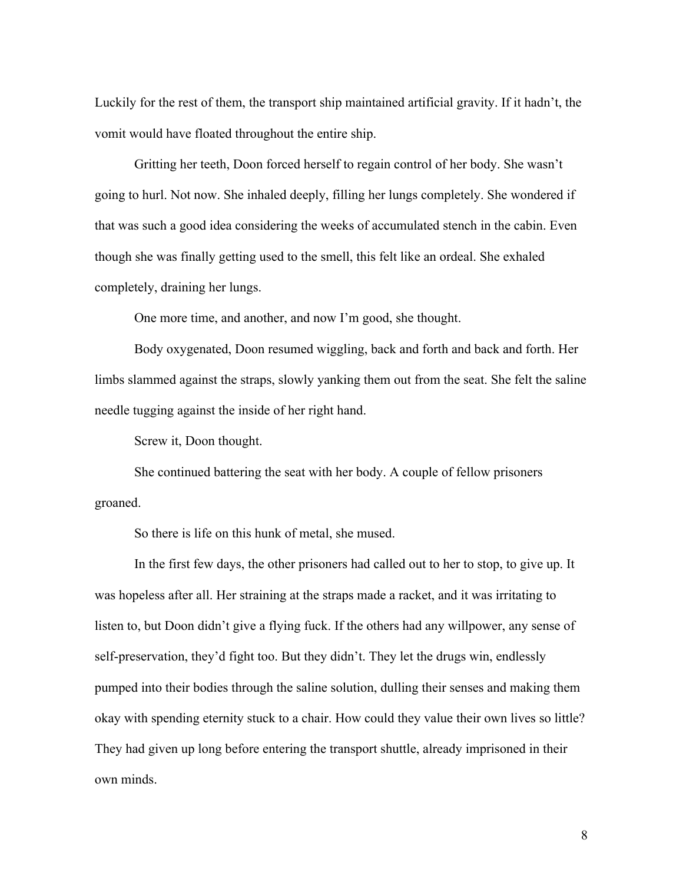Luckily for the rest of them, the transport ship maintained artificial gravity. If it hadn't, the vomit would have floated throughout the entire ship.

Gritting her teeth, Doon forced herself to regain control of her body. She wasn't going to hurl. Not now. She inhaled deeply, filling her lungs completely. She wondered if that was such a good idea considering the weeks of accumulated stench in the cabin. Even though she was finally getting used to the smell, this felt like an ordeal. She exhaled completely, draining her lungs.

One more time, and another, and now I'm good, she thought.

Body oxygenated, Doon resumed wiggling, back and forth and back and forth. Her limbs slammed against the straps, slowly yanking them out from the seat. She felt the saline needle tugging against the inside of her right hand.

Screw it, Doon thought.

She continued battering the seat with her body. A couple of fellow prisoners groaned.

So there is life on this hunk of metal, she mused.

In the first few days, the other prisoners had called out to her to stop, to give up. It was hopeless after all. Her straining at the straps made a racket, and it was irritating to listen to, but Doon didn't give a flying fuck. If the others had any willpower, any sense of self-preservation, they'd fight too. But they didn't. They let the drugs win, endlessly pumped into their bodies through the saline solution, dulling their senses and making them okay with spending eternity stuck to a chair. How could they value their own lives so little? They had given up long before entering the transport shuttle, already imprisoned in their own minds.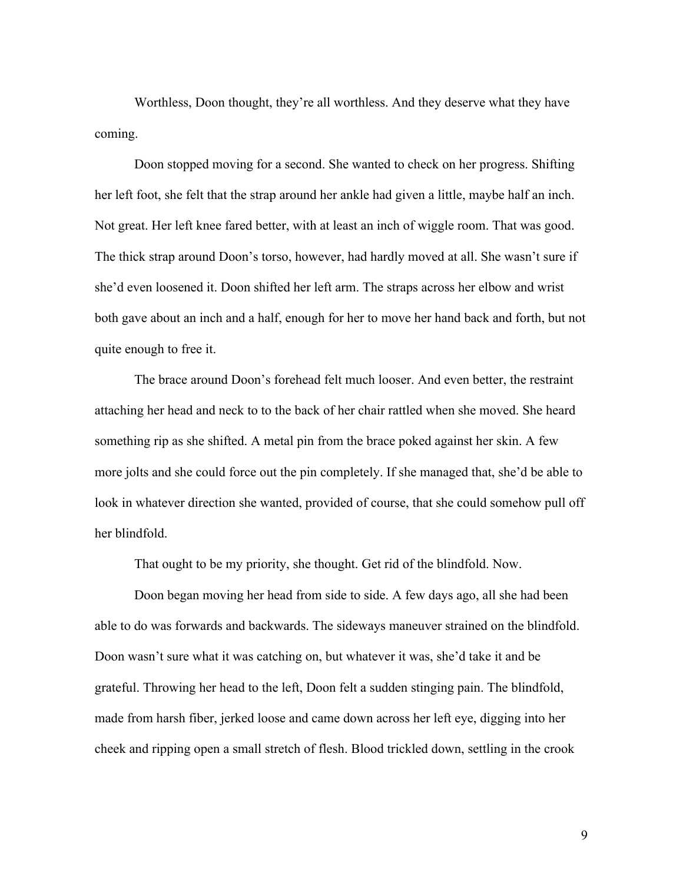Worthless, Doon thought, they're all worthless. And they deserve what they have coming.

Doon stopped moving for a second. She wanted to check on her progress. Shifting her left foot, she felt that the strap around her ankle had given a little, maybe half an inch. Not great. Her left knee fared better, with at least an inch of wiggle room. That was good. The thick strap around Doon's torso, however, had hardly moved at all. She wasn't sure if she'd even loosened it. Doon shifted her left arm. The straps across her elbow and wrist both gave about an inch and a half, enough for her to move her hand back and forth, but not quite enough to free it.

The brace around Doon's forehead felt much looser. And even better, the restraint attaching her head and neck to to the back of her chair rattled when she moved. She heard something rip as she shifted. A metal pin from the brace poked against her skin. A few more jolts and she could force out the pin completely. If she managed that, she'd be able to look in whatever direction she wanted, provided of course, that she could somehow pull off her blindfold.

That ought to be my priority, she thought. Get rid of the blindfold. Now.

Doon began moving her head from side to side. A few days ago, all she had been able to do was forwards and backwards. The sideways maneuver strained on the blindfold. Doon wasn't sure what it was catching on, but whatever it was, she'd take it and be grateful. Throwing her head to the left, Doon felt a sudden stinging pain. The blindfold, made from harsh fiber, jerked loose and came down across her left eye, digging into her cheek and ripping open a small stretch of flesh. Blood trickled down, settling in the crook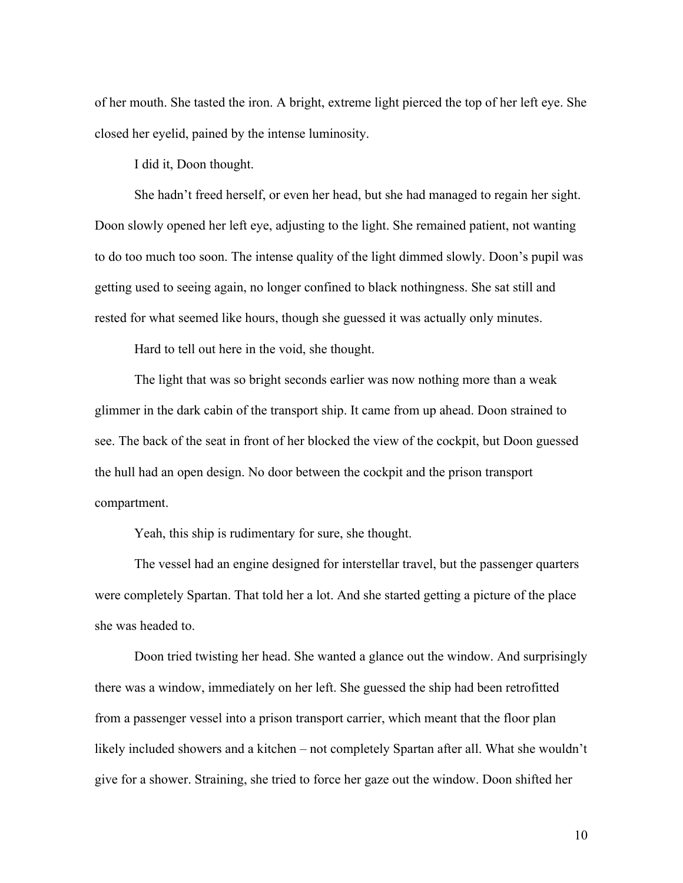of her mouth. She tasted the iron. A bright, extreme light pierced the top of her left eye. She closed her eyelid, pained by the intense luminosity.

I did it, Doon thought.

She hadn't freed herself, or even her head, but she had managed to regain her sight. Doon slowly opened her left eye, adjusting to the light. She remained patient, not wanting to do too much too soon. The intense quality of the light dimmed slowly. Doon's pupil was getting used to seeing again, no longer confined to black nothingness. She sat still and rested for what seemed like hours, though she guessed it was actually only minutes.

Hard to tell out here in the void, she thought.

The light that was so bright seconds earlier was now nothing more than a weak glimmer in the dark cabin of the transport ship. It came from up ahead. Doon strained to see. The back of the seat in front of her blocked the view of the cockpit, but Doon guessed the hull had an open design. No door between the cockpit and the prison transport compartment.

Yeah, this ship is rudimentary for sure, she thought.

The vessel had an engine designed for interstellar travel, but the passenger quarters were completely Spartan. That told her a lot. And she started getting a picture of the place she was headed to.

Doon tried twisting her head. She wanted a glance out the window. And surprisingly there was a window, immediately on her left. She guessed the ship had been retrofitted from a passenger vessel into a prison transport carrier, which meant that the floor plan likely included showers and a kitchen – not completely Spartan after all. What she wouldn't give for a shower. Straining, she tried to force her gaze out the window. Doon shifted her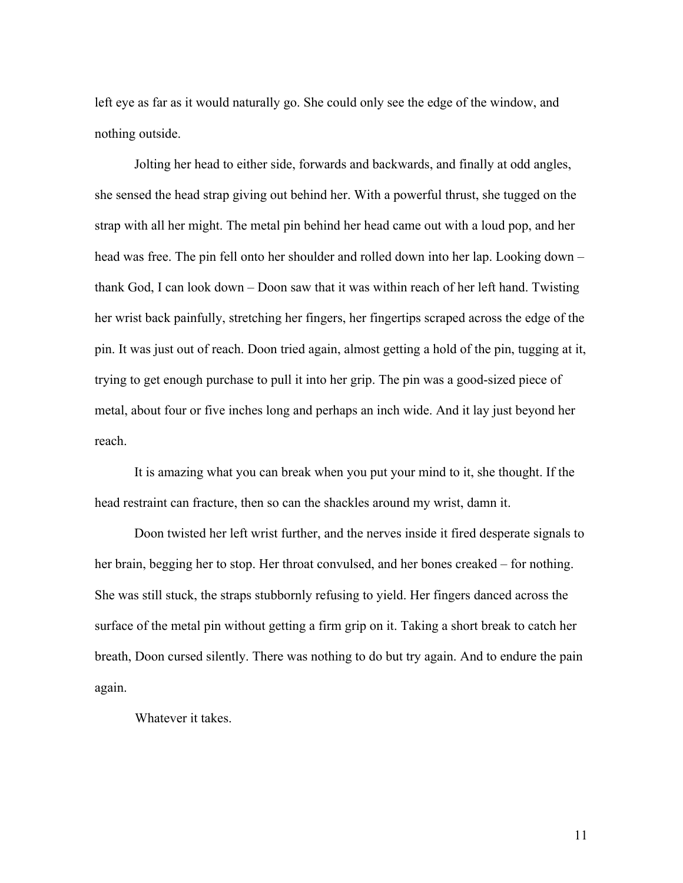left eye as far as it would naturally go. She could only see the edge of the window, and nothing outside.

Jolting her head to either side, forwards and backwards, and finally at odd angles, she sensed the head strap giving out behind her. With a powerful thrust, she tugged on the strap with all her might. The metal pin behind her head came out with a loud pop, and her head was free. The pin fell onto her shoulder and rolled down into her lap. Looking down – thank God, I can look down – Doon saw that it was within reach of her left hand. Twisting her wrist back painfully, stretching her fingers, her fingertips scraped across the edge of the pin. It was just out of reach. Doon tried again, almost getting a hold of the pin, tugging at it, trying to get enough purchase to pull it into her grip. The pin was a good-sized piece of metal, about four or five inches long and perhaps an inch wide. And it lay just beyond her reach.

It is amazing what you can break when you put your mind to it, she thought. If the head restraint can fracture, then so can the shackles around my wrist, damn it.

Doon twisted her left wrist further, and the nerves inside it fired desperate signals to her brain, begging her to stop. Her throat convulsed, and her bones creaked – for nothing. She was still stuck, the straps stubbornly refusing to yield. Her fingers danced across the surface of the metal pin without getting a firm grip on it. Taking a short break to catch her breath, Doon cursed silently. There was nothing to do but try again. And to endure the pain again.

Whatever it takes.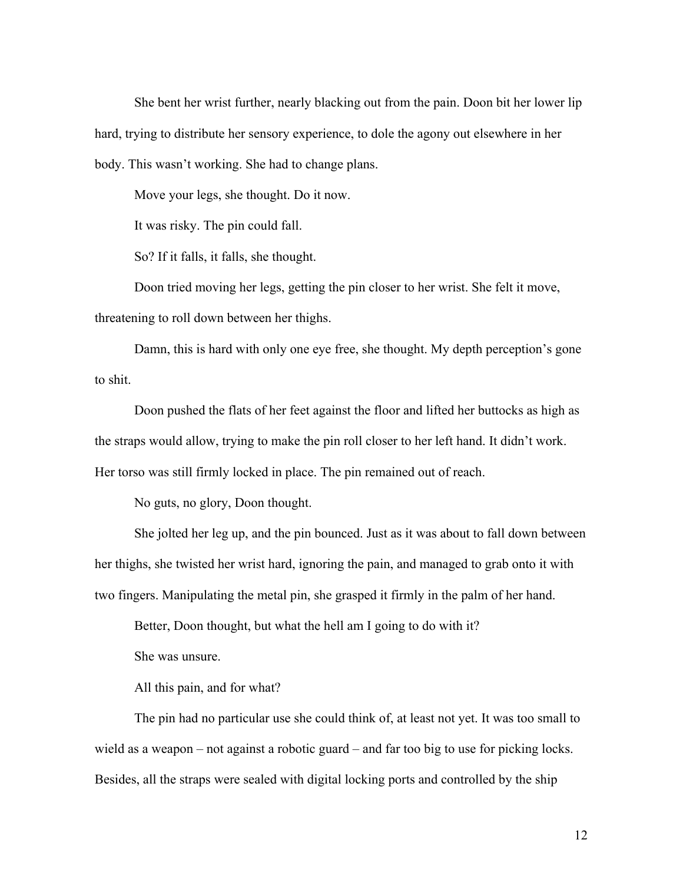She bent her wrist further, nearly blacking out from the pain. Doon bit her lower lip hard, trying to distribute her sensory experience, to dole the agony out elsewhere in her body. This wasn't working. She had to change plans.

Move your legs, she thought. Do it now.

It was risky. The pin could fall.

So? If it falls, it falls, she thought.

Doon tried moving her legs, getting the pin closer to her wrist. She felt it move, threatening to roll down between her thighs.

Damn, this is hard with only one eye free, she thought. My depth perception's gone to shit.

Doon pushed the flats of her feet against the floor and lifted her buttocks as high as the straps would allow, trying to make the pin roll closer to her left hand. It didn't work. Her torso was still firmly locked in place. The pin remained out of reach.

No guts, no glory, Doon thought.

She jolted her leg up, and the pin bounced. Just as it was about to fall down between her thighs, she twisted her wrist hard, ignoring the pain, and managed to grab onto it with two fingers. Manipulating the metal pin, she grasped it firmly in the palm of her hand.

Better, Doon thought, but what the hell am I going to do with it?

She was unsure.

All this pain, and for what?

The pin had no particular use she could think of, at least not yet. It was too small to wield as a weapon – not against a robotic guard – and far too big to use for picking locks. Besides, all the straps were sealed with digital locking ports and controlled by the ship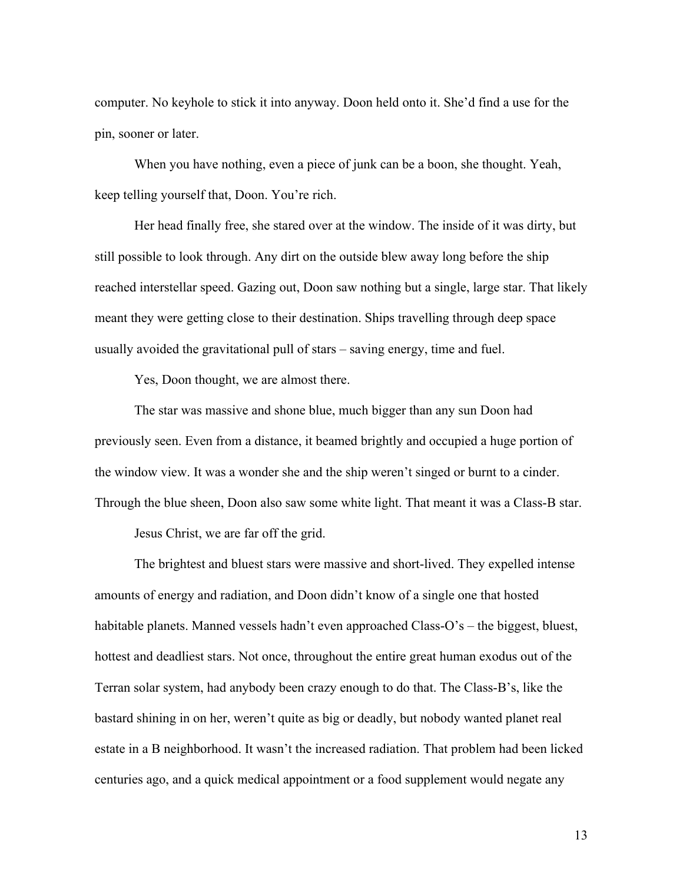computer. No keyhole to stick it into anyway. Doon held onto it. She'd find a use for the pin, sooner or later.

When you have nothing, even a piece of junk can be a boon, she thought. Yeah, keep telling yourself that, Doon. You're rich.

Her head finally free, she stared over at the window. The inside of it was dirty, but still possible to look through. Any dirt on the outside blew away long before the ship reached interstellar speed. Gazing out, Doon saw nothing but a single, large star. That likely meant they were getting close to their destination. Ships travelling through deep space usually avoided the gravitational pull of stars – saving energy, time and fuel.

Yes, Doon thought, we are almost there.

The star was massive and shone blue, much bigger than any sun Doon had previously seen. Even from a distance, it beamed brightly and occupied a huge portion of the window view. It was a wonder she and the ship weren't singed or burnt to a cinder. Through the blue sheen, Doon also saw some white light. That meant it was a Class-B star.

Jesus Christ, we are far off the grid.

The brightest and bluest stars were massive and short-lived. They expelled intense amounts of energy and radiation, and Doon didn't know of a single one that hosted habitable planets. Manned vessels hadn't even approached Class-O's – the biggest, bluest, hottest and deadliest stars. Not once, throughout the entire great human exodus out of the Terran solar system, had anybody been crazy enough to do that. The Class-B's, like the bastard shining in on her, weren't quite as big or deadly, but nobody wanted planet real estate in a B neighborhood. It wasn't the increased radiation. That problem had been licked centuries ago, and a quick medical appointment or a food supplement would negate any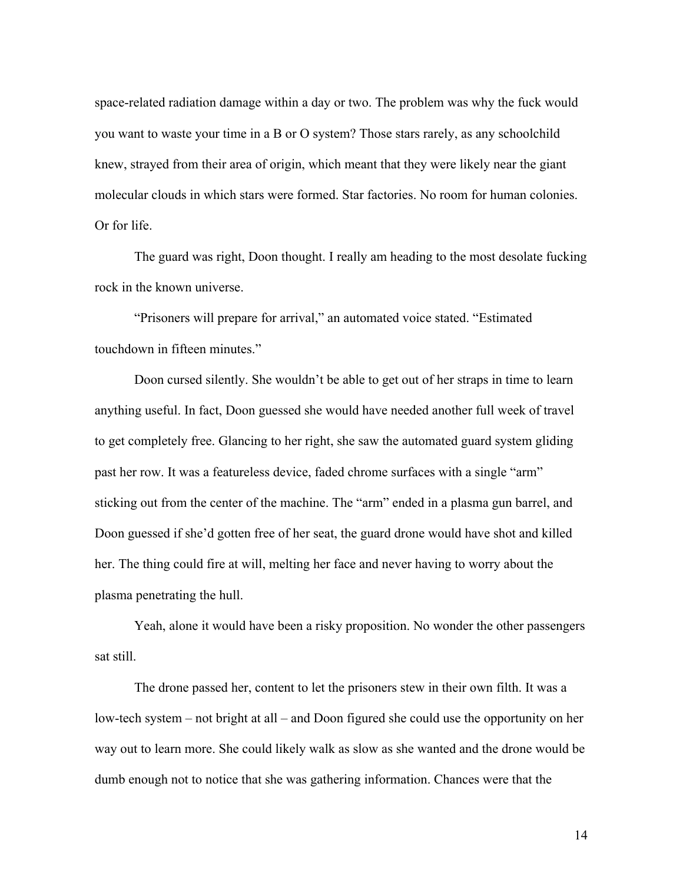space-related radiation damage within a day or two. The problem was why the fuck would you want to waste your time in a B or O system? Those stars rarely, as any schoolchild knew, strayed from their area of origin, which meant that they were likely near the giant molecular clouds in which stars were formed. Star factories. No room for human colonies. Or for life.

The guard was right, Doon thought. I really am heading to the most desolate fucking rock in the known universe.

"Prisoners will prepare for arrival," an automated voice stated. "Estimated touchdown in fifteen minutes."

Doon cursed silently. She wouldn't be able to get out of her straps in time to learn anything useful. In fact, Doon guessed she would have needed another full week of travel to get completely free. Glancing to her right, she saw the automated guard system gliding past her row. It was a featureless device, faded chrome surfaces with a single "arm" sticking out from the center of the machine. The "arm" ended in a plasma gun barrel, and Doon guessed if she'd gotten free of her seat, the guard drone would have shot and killed her. The thing could fire at will, melting her face and never having to worry about the plasma penetrating the hull.

Yeah, alone it would have been a risky proposition. No wonder the other passengers sat still.

The drone passed her, content to let the prisoners stew in their own filth. It was a low-tech system – not bright at all – and Doon figured she could use the opportunity on her way out to learn more. She could likely walk as slow as she wanted and the drone would be dumb enough not to notice that she was gathering information. Chances were that the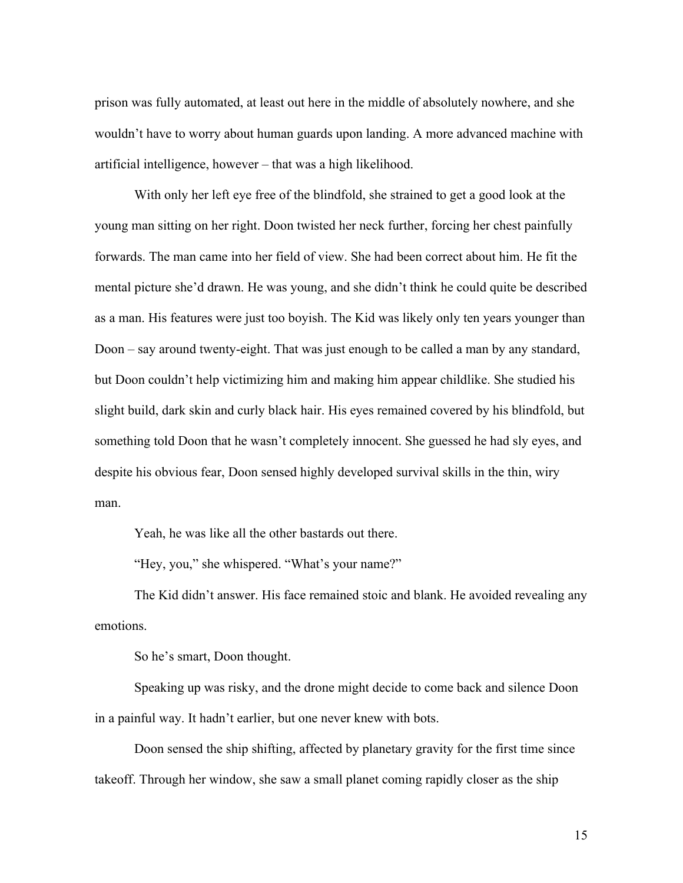prison was fully automated, at least out here in the middle of absolutely nowhere, and she wouldn't have to worry about human guards upon landing. A more advanced machine with artificial intelligence, however – that was a high likelihood.

With only her left eye free of the blindfold, she strained to get a good look at the young man sitting on her right. Doon twisted her neck further, forcing her chest painfully forwards. The man came into her field of view. She had been correct about him. He fit the mental picture she'd drawn. He was young, and she didn't think he could quite be described as a man. His features were just too boyish. The Kid was likely only ten years younger than Doon – say around twenty-eight. That was just enough to be called a man by any standard, but Doon couldn't help victimizing him and making him appear childlike. She studied his slight build, dark skin and curly black hair. His eyes remained covered by his blindfold, but something told Doon that he wasn't completely innocent. She guessed he had sly eyes, and despite his obvious fear, Doon sensed highly developed survival skills in the thin, wiry man.

Yeah, he was like all the other bastards out there.

"Hey, you," she whispered. "What's your name?"

The Kid didn't answer. His face remained stoic and blank. He avoided revealing any emotions.

So he's smart, Doon thought.

Speaking up was risky, and the drone might decide to come back and silence Doon in a painful way. It hadn't earlier, but one never knew with bots.

Doon sensed the ship shifting, affected by planetary gravity for the first time since takeoff. Through her window, she saw a small planet coming rapidly closer as the ship